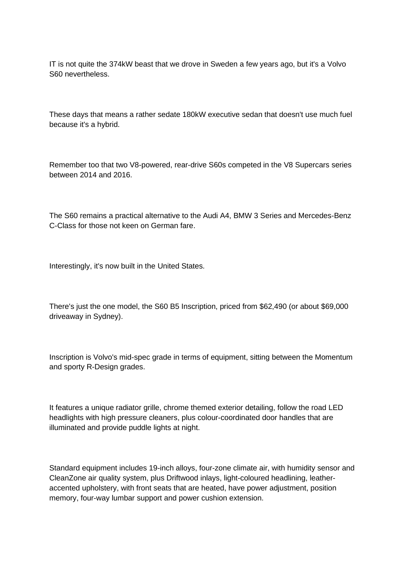IT is not quite the 374kW beast that we drove in Sweden a few years ago, but it's a Volvo S60 nevertheless.

These days that means a rather sedate 180kW executive sedan that doesn't use much fuel because it's a hybrid.

Remember too that two V8-powered, rear-drive S60s competed in the V8 Supercars series between 2014 and 2016.

The S60 remains a practical alternative to the Audi A4, BMW 3 Series and Mercedes-Benz C-Class for those not keen on German fare.

Interestingly, it's now built in the United States.

There's just the one model, the S60 B5 Inscription, priced from \$62,490 (or about \$69,000 driveaway in Sydney).

Inscription is Volvo's mid-spec grade in terms of equipment, sitting between the Momentum and sporty R-Design grades.

It features a unique radiator grille, chrome themed exterior detailing, follow the road LED headlights with high pressure cleaners, plus colour-coordinated door handles that are illuminated and provide puddle lights at night.

Standard equipment includes 19-inch alloys, four-zone climate air, with humidity sensor and CleanZone air quality system, plus Driftwood inlays, light-coloured headlining, leatheraccented upholstery, with front seats that are heated, have power adjustment, position memory, four-way lumbar support and power cushion extension.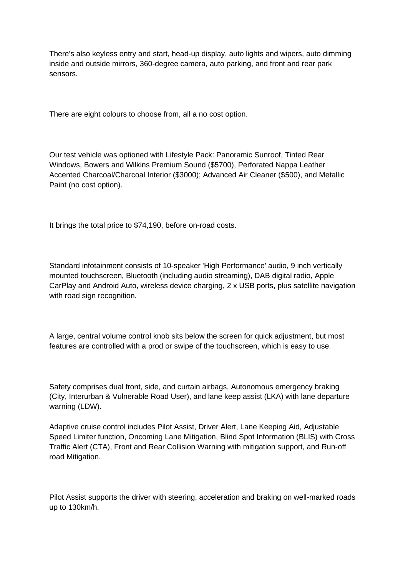There's also keyless entry and start, head-up display, auto lights and wipers, auto dimming inside and outside mirrors, 360-degree camera, auto parking, and front and rear park sensors.

There are eight colours to choose from, all a no cost option.

Our test vehicle was optioned with Lifestyle Pack: Panoramic Sunroof, Tinted Rear Windows, Bowers and Wilkins Premium Sound (\$5700), Perforated Nappa Leather Accented Charcoal/Charcoal Interior (\$3000); Advanced Air Cleaner (\$500), and Metallic Paint (no cost option).

It brings the total price to \$74,190, before on-road costs.

Standard infotainment consists of 10-speaker 'High Performance' audio, 9 inch vertically mounted touchscreen, Bluetooth (including audio streaming), DAB digital radio, Apple CarPlay and Android Auto, wireless device charging, 2 x USB ports, plus satellite navigation with road sign recognition.

A large, central volume control knob sits below the screen for quick adjustment, but most features are controlled with a prod or swipe of the touchscreen, which is easy to use.

Safety comprises dual front, side, and curtain airbags, Autonomous emergency braking (City, Interurban & Vulnerable Road User), and lane keep assist (LKA) with lane departure warning (LDW).

Adaptive cruise control includes Pilot Assist, Driver Alert, Lane Keeping Aid, Adjustable Speed Limiter function, Oncoming Lane Mitigation, Blind Spot Information (BLIS) with Cross Traffic Alert (CTA), Front and Rear Collision Warning with mitigation support, and Run-off road Mitigation.

Pilot Assist supports the driver with steering, acceleration and braking on well-marked roads up to 130km/h.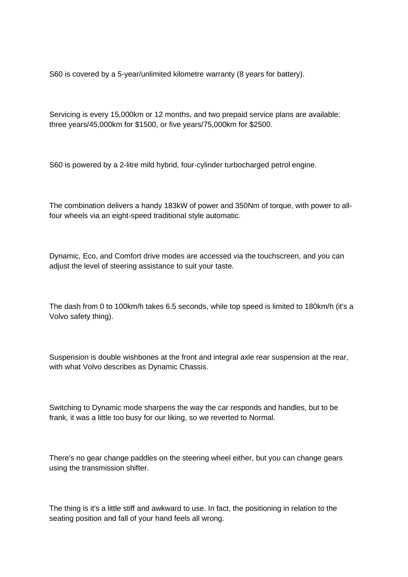S60 is covered by a 5-year/unlimited kilometre warranty (8 years for battery).

Servicing is every 15,000km or 12 months, and two prepaid service plans are available: three years/45,000km for \$1500, or five years/75,000km for \$2500.

S60 is powered by a 2-litre mild hybrid, four-cylinder turbocharged petrol engine.

The combination delivers a handy 183kW of power and 350Nm of torque, with power to allfour wheels via an eight-speed traditional style automatic.

Dynamic, Eco, and Comfort drive modes are accessed via the touchscreen, and you can adjust the level of steering assistance to suit your taste.

The dash from 0 to 100km/h takes 6.5 seconds, while top speed is limited to 180km/h (it's a Volvo safety thing).

Suspension is double wishbones at the front and integral axle rear suspension at the rear, with what Volvo describes as Dynamic Chassis.

Switching to Dynamic mode sharpens the way the car responds and handles, but to be frank, it was a little too busy for our liking, so we reverted to Normal.

There's no gear change paddles on the steering wheel either, but you can change gears using the transmission shifter.

The thing is it's a little stiff and awkward to use. In fact, the positioning in relation to the seating position and fall of your hand feels all wrong.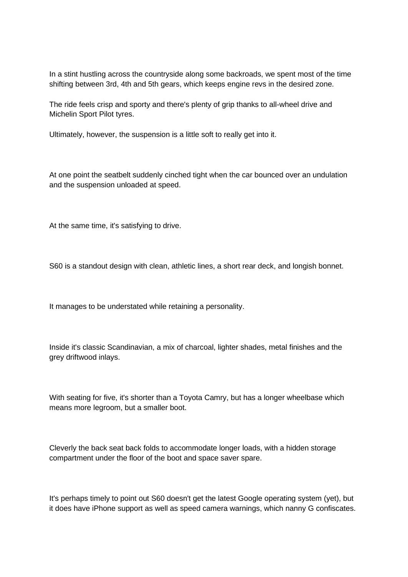In a stint hustling across the countryside along some backroads, we spent most of the time shifting between 3rd, 4th and 5th gears, which keeps engine revs in the desired zone.

The ride feels crisp and sporty and there's plenty of grip thanks to all-wheel drive and Michelin Sport Pilot tyres.

Ultimately, however, the suspension is a little soft to really get into it.

At one point the seatbelt suddenly cinched tight when the car bounced over an undulation and the suspension unloaded at speed.

At the same time, it's satisfying to drive.

S60 is a standout design with clean, athletic lines, a short rear deck, and longish bonnet.

It manages to be understated while retaining a personality.

Inside it's classic Scandinavian, a mix of charcoal, lighter shades, metal finishes and the grey driftwood inlays.

With seating for five, it's shorter than a Toyota Camry, but has a longer wheelbase which means more legroom, but a smaller boot.

Cleverly the back seat back folds to accommodate longer loads, with a hidden storage compartment under the floor of the boot and space saver spare.

It's perhaps timely to point out S60 doesn't get the latest Google operating system (yet), but it does have iPhone support as well as speed camera warnings, which nanny G confiscates.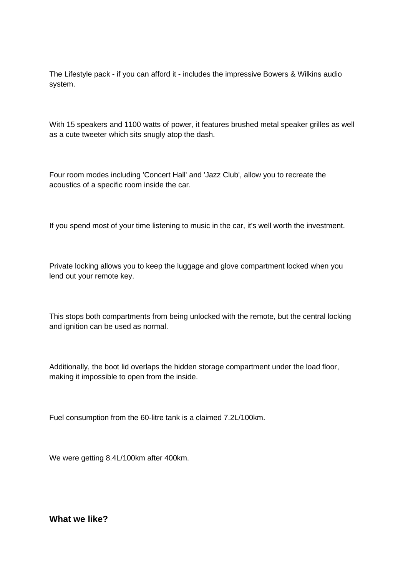The Lifestyle pack - if you can afford it - includes the impressive Bowers & Wilkins audio system.

With 15 speakers and 1100 watts of power, it features brushed metal speaker grilles as well as a cute tweeter which sits snugly atop the dash.

Four room modes including 'Concert Hall' and 'Jazz Club', allow you to recreate the acoustics of a specific room inside the car.

If you spend most of your time listening to music in the car, it's well worth the investment.

Private locking allows you to keep the luggage and glove compartment locked when you lend out your remote key.

This stops both compartments from being unlocked with the remote, but the central locking and ignition can be used as normal.

Additionally, the boot lid overlaps the hidden storage compartment under the load floor, making it impossible to open from the inside.

Fuel consumption from the 60-litre tank is a claimed 7.2L/100km.

We were getting 8.4L/100km after 400km.

**What we like?**